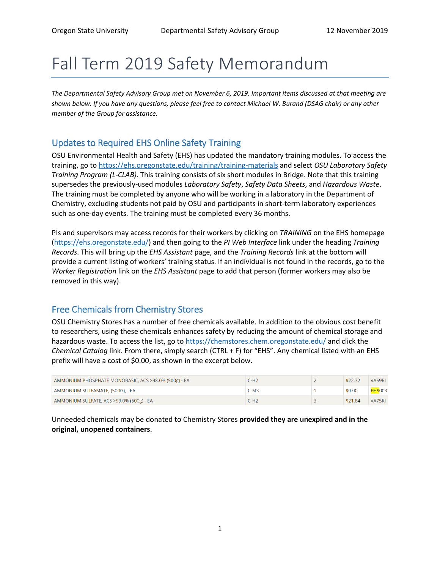# Fall Term 2019 Safety Memorandum

*The Departmental Safety Advisory Group met on November 6, 2019. Important items discussed at that meeting are shown below. If you have any questions, please feel free to contact Michael W. Burand (DSAG chair) or any other member of the Group for assistance.*

### Updates to Required EHS Online Safety Training

OSU Environmental Health and Safety (EHS) has updated the mandatory training modules. To access the training, go to<https://ehs.oregonstate.edu/training/training-materials> and select *OSU Laboratory Safety Training Program (L-CLAB)*. This training consists of six short modules in Bridge. Note that this training supersedes the previously-used modules *Laboratory Safety*, *Safety Data Sheets*, and *Hazardous Waste*. The training must be completed by anyone who will be working in a laboratory in the Department of Chemistry, excluding students not paid by OSU and participants in short-term laboratory experiences such as one-day events. The training must be completed every 36 months.

PIs and supervisors may access records for their workers by clicking on *TRAINING* on the EHS homepage [\(https://ehs.oregonstate.edu/\)](https://ehs.oregonstate.edu/) and then going to the *PI Web Interface* link under the heading *Training Records*. This will bring up the *EHS Assistant* page, and the *Training Records* link at the bottom will provide a current listing of workers' training status. If an individual is not found in the records, go to the *Worker Registration* link on the *EHS Assistant* page to add that person (former workers may also be removed in this way).

### Free Chemicals from Chemistry Stores

OSU Chemistry Stores has a number of free chemicals available. In addition to the obvious cost benefit to researchers, using these chemicals enhances safety by reducing the amount of chemical storage and hazardous waste. To access the list, go to<https://chemstores.chem.oregonstate.edu/> and click the *Chemical Catalog* link. From there, simply search (CTRL + F) for "EHS". Any chemical listed with an EHS prefix will have a cost of \$0.00, as shown in the excerpt below.

| AMMONIUM PHOSPHATE MONOBASIC, ACS >98.0% (500g) - EA | C-H2   | \$22.32 | VA69RI         |
|------------------------------------------------------|--------|---------|----------------|
| AMMONIUM SULFAMATE, (500G), - EA                     | $C-M3$ | \$0.00  | <b>EHS</b> 003 |
| AMMONIUM SULFATE, ACS >99.0% (500g) - EA             | C-H2   | \$21.84 | VA75RI         |

Unneeded chemicals may be donated to Chemistry Stores **provided they are unexpired and in the original, unopened containers**.